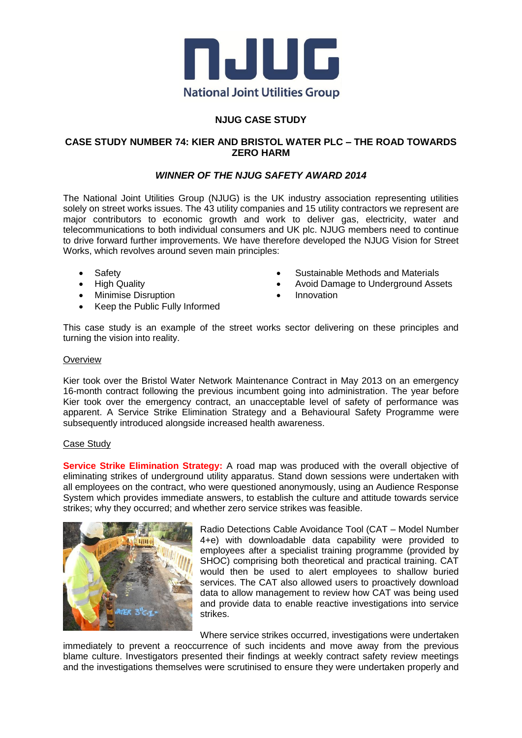

## **NJUG CASE STUDY**

## **CASE STUDY NUMBER 74: KIER AND BRISTOL WATER PLC – THE ROAD TOWARDS ZERO HARM**

## *WINNER OF THE NJUG SAFETY AWARD 2014*

The National Joint Utilities Group (NJUG) is the UK industry association representing utilities solely on street works issues. The 43 utility companies and 15 utility contractors we represent are major contributors to economic growth and work to deliver gas, electricity, water and telecommunications to both individual consumers and UK plc. NJUG members need to continue to drive forward further improvements. We have therefore developed the NJUG Vision for Street Works, which revolves around seven main principles:

- Safety
- High Quality
- Minimise Disruption
- Keep the Public Fully Informed
- Sustainable Methods and Materials
- Avoid Damage to Underground Assets
- Innovation

This case study is an example of the street works sector delivering on these principles and turning the vision into reality.

#### **Overview**

Kier took over the Bristol Water Network Maintenance Contract in May 2013 on an emergency 16-month contract following the previous incumbent going into administration. The year before Kier took over the emergency contract, an unacceptable level of safety of performance was apparent. A Service Strike Elimination Strategy and a Behavioural Safety Programme were subsequently introduced alongside increased health awareness.

#### Case Study

**Service Strike Elimination Strategy:** A road map was produced with the overall objective of eliminating strikes of underground utility apparatus. Stand down sessions were undertaken with all employees on the contract, who were questioned anonymously, using an Audience Response System which provides immediate answers, to establish the culture and attitude towards service strikes; why they occurred; and whether zero service strikes was feasible.



Radio Detections Cable Avoidance Tool (CAT – Model Number 4+e) with downloadable data capability were provided to employees after a specialist training programme (provided by SHOC) comprising both theoretical and practical training. CAT would then be used to alert employees to shallow buried services. The CAT also allowed users to proactively download data to allow management to review how CAT was being used and provide data to enable reactive investigations into service strikes.

Where service strikes occurred, investigations were undertaken

immediately to prevent a reoccurrence of such incidents and move away from the previous blame culture. Investigators presented their findings at weekly contract safety review meetings and the investigations themselves were scrutinised to ensure they were undertaken properly and